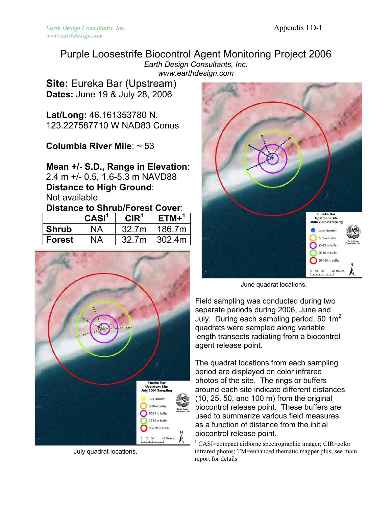Purple Loosestrife Biocontrol Agent Monitoring Project 2006 *Earth Design Consultants, Inc. www.earthdesign.com* 

**Site:** Eureka Bar (Upstream) **Dates:** June 19 & July 28, 2006

**Lat/Long:** 46.161353780 N, 123.227587710 W NAD83 Conus

**Columbia River Mile**: ~ 53

**Mean +/- S.D., Range in Elevation**: 2.4 m +/- 0.5, 1.6-5.3 m NAVD88 **Distance to High Ground**: Not available

### **Distance to Shrub/Forest Cover**:

|              | CASI <sup>1</sup> | CIR <sup>1</sup> | $ETM+^1$ |
|--------------|-------------------|------------------|----------|
| <b>Shrub</b> | ΝA                | 32.7m            | 186.7m   |
| Forest       | <b>NA</b>         | 32.7m            | 302.4m   |



July quadrat locations.



June quadrat locations.

Field sampling was conducted during two separate periods during 2006, June and July. During each sampling period, 50  $1m^2$ quadrats were sampled along variable length transects radiating from a biocontrol agent release point.

The quadrat locations from each sampling period are displayed on color infrared photos of the site. The rings or buffers around each site indicate different distances (10, 25, 50, and 100 m) from the original biocontrol release point. These buffers are used to summarize various field measures as a function of distance from the initial biocontrol release point.

<sup>1</sup> CASI=compact airborne spectrographic imager; CIR=color infrared photos; TM=enhanced thematic mapper plus; see main report for details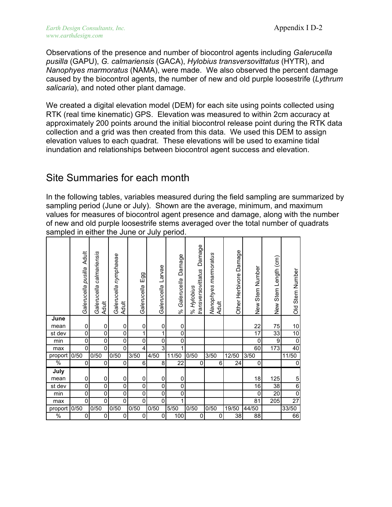Observations of the presence and number of biocontrol agents including *Galerucella pusilla* (GAPU), *G. calmariensis* (GACA), *Hylobius transversovittatus* (HYTR), and *Nanophyes marmoratus* (NAMA), were made. We also observed the percent damage caused by the biocontrol agents, the number of new and old purple loosestrife (*Lythrum salicaria*), and noted other plant damage.

We created a digital elevation model (DEM) for each site using points collected using RTK (real time kinematic) GPS. Elevation was measured to within 2cm accuracy at approximately 200 points around the initial biocontrol release point during the RTK data collection and a grid was then created from this data. We used this DEM to assign elevation values to each quadrat. These elevations will be used to examine tidal inundation and relationships between biocontrol agent success and elevation.

## Site Summaries for each month

In the following tables, variables measured during the field sampling are summarized by sampling period (June or July). Shown are the average, minimum, and maximum values for measures of biocontrol agent presence and damage, along with the number of new and old purple loosestrife stems averaged over the total number of quadrats sampled in either the June or July period.

|                  | <b>Adult</b><br>Galerucella pusilla | Galerucella calmariensis<br><b>Adult</b> | Galerucella nymphaeae<br>Adult | Egg<br>Galerucella | Larvae<br>Galerucella | Damage<br>Galerucella<br>ಸಿ | Damage<br>transversovittatus<br>% Hylobius | Nanophyes marmoratus<br>Adult | Other Herbivore Damage | Stem Number<br>New<br>Z | New Stem Length (cm) | Stem Number<br>$rac{1}{\sqrt{2}}$ |
|------------------|-------------------------------------|------------------------------------------|--------------------------------|--------------------|-----------------------|-----------------------------|--------------------------------------------|-------------------------------|------------------------|-------------------------|----------------------|-----------------------------------|
| June             |                                     |                                          |                                |                    |                       |                             |                                            |                               |                        |                         |                      |                                   |
| mean             | 0                                   | 0                                        | 0                              | 0                  | 0                     | 0                           |                                            |                               |                        | 22                      | 75                   | 10                                |
| st dev           | 0                                   | 0                                        | 0                              | 1                  | 1                     | 0                           |                                            |                               |                        | 17                      | 33                   | 10                                |
| $\overline{min}$ | 0                                   | 0                                        | 0                              | 0                  | 0                     | 0                           |                                            |                               |                        | 0                       | 9                    | $\overline{0}$                    |
| max              | 0                                   | 0                                        | 0                              | 4                  | 3                     |                             |                                            |                               |                        | 60                      | $\overline{173}$     | 40                                |
| proport          | 0/50                                | 0/50                                     | 0/50                           | 3/50               | 4/50                  | 11/50                       | 0/50                                       | 3/50                          | 12/50                  | 3/50                    |                      | 11/50                             |
| $\frac{0}{6}$    | $\mathbf 0$                         | 0                                        | 0                              | 6                  | 8                     | 22                          | 0                                          | 6                             | 24                     | 0                       |                      | $\pmb{0}$                         |
| July             |                                     |                                          |                                |                    |                       |                             |                                            |                               |                        |                         |                      |                                   |
| mean             | 0                                   | 0                                        | 0                              | 0                  | 0                     | 0                           |                                            |                               |                        | 18                      | 125                  | 5                                 |
| st dev           | $\overline{0}$                      | 0                                        | $\overline{0}$                 | 0                  | $\overline{0}$        | $\overline{0}$              |                                            |                               |                        | $\overline{16}$         | $\overline{38}$      | $\overline{6}$                    |
| $\overline{min}$ | $\overline{0}$                      | $\overline{0}$                           | O                              | $\overline{0}$     | $\overline{0}$        | $\overline{0}$              |                                            |                               |                        | 0                       | $\overline{20}$      | $\overline{0}$                    |
| max              | 0                                   | 0                                        | 0                              | 0                  | $\overline{0}$        |                             |                                            |                               |                        | $\overline{81}$         | 205                  | $\overline{27}$                   |
| proport          | 0/50                                | 0/50                                     | 0/50                           | 0/50               | 0/50                  | 5/50                        | 0/50                                       | 0/50                          | 19/50                  | 44/50                   |                      | 33/50                             |
| $\frac{0}{6}$    | 0                                   | 0                                        | 0                              | 0                  | 0                     | 100                         | 0                                          | 0                             | 38                     | 88                      |                      | 66                                |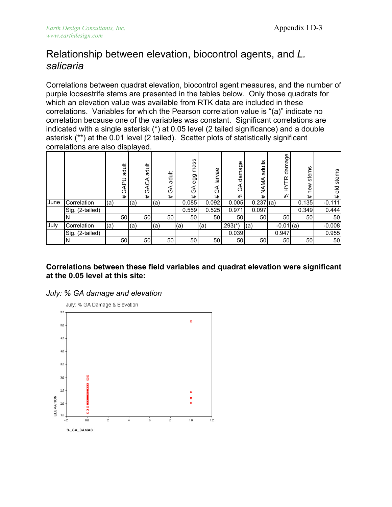# Relationship between elevation, biocontrol agents, and *L. salicaria*

Correlations between quadrat elevation, biocontrol agent measures, and the number of purple loosestrife stems are presented in the tables below. Only those quadrats for which an elevation value was available from RTK data are included in these correlations. Variables for which the Pearson correlation value is "(a)" indicate no correlation because one of the variables was constant. Significant correlations are indicated with a single asterisk (\*) at 0.05 level (2 tailed significance) and a double asterisk (\*\*) at the 0.01 level (2 tailed). Scatter plots of statistically significant correlations are also displayed.

|      |                 |     | adult<br>n.<br>O<br># |     | adult<br>◁<br>O<br># |     | adult<br>⋖<br>CŨ<br>$\ddot{}$ | SS<br>Ĕä<br>egg<br>⋖<br>O<br># | θě<br>దె<br>O<br># | damage<br>⋖<br>O<br>వి | adults<br>AMA<br>Ź<br># | damage<br>$\alpha$<br>వి | stems<br>new<br># | stems<br>긍<br># |
|------|-----------------|-----|-----------------------|-----|----------------------|-----|-------------------------------|--------------------------------|--------------------|------------------------|-------------------------|--------------------------|-------------------|-----------------|
| June | Correlation     | (a) |                       | (a) |                      | (a) |                               | 0.085                          | 0.092              | 0.005                  | 0.237                   | (a)                      | 0.135             | $-0.111$        |
|      | Sig. (2-tailed) |     |                       |     |                      |     |                               | 0.559                          | 0.525              | 0.971                  | 0.097                   |                          | 0.349             | 0.444           |
|      |                 |     | 50                    |     | 50                   |     | 50                            | 50                             | 50                 | 50                     | 50                      | 50                       | 50                | 50              |
| July | Correlation     | (a) |                       | (a) |                      | (a) |                               | (a)                            | (a)                | .293(*)                | (a)                     | $-0.01$                  | (a)               | $-0.008$        |
|      | Sig. (2-tailed) |     |                       |     |                      |     |                               |                                |                    | 0.039                  |                         | 0.947                    |                   | 0.955           |
|      |                 |     | 50                    |     | 50                   |     | 50                            | 50                             | 50                 | 50 <sub>0</sub>        | 50                      | 50                       | 50                | 50              |

#### **Correlations between these field variables and quadrat elevation were significant at the 0.05 level at this site:**



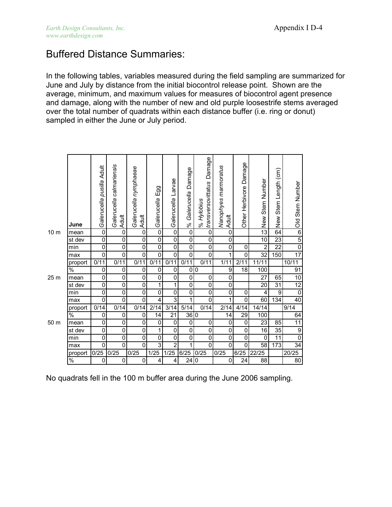## Buffered Distance Summaries:

In the following tables, variables measured during the field sampling are summarized for June and July by distance from the initial biocontrol release point. Shown are the average, minimum, and maximum values for measures of biocontrol agent presence and damage, along with the number of new and old purple loosestrife stems averaged over the total number of quadrats within each distance buffer (i.e. ring or donut) sampled in either the June or July period.

|                 | June          | Galerucella pusilla Adult | Galerucella calmariensis<br>Adult | Galerucella nymphaeae<br><b>Adult</b> | Egg<br>Galerucella | Larvae<br>Galerucella | Damage<br>Galerucella<br>$\%$ | Damage<br>transversovittatus<br>% Hylobius | Nanophyes marmoratus<br><b>Adult</b> | Other Herbivore Damage | Stem Number<br>New | Stem Length (cm)<br>New | Old Stem Number |
|-----------------|---------------|---------------------------|-----------------------------------|---------------------------------------|--------------------|-----------------------|-------------------------------|--------------------------------------------|--------------------------------------|------------------------|--------------------|-------------------------|-----------------|
| 10 <sub>m</sub> | mean          | $\overline{0}$            | $\overline{0}$                    | $\overline{0}$                        | $\overline{0}$     | $\overline{0}$        | $\overline{0}$                | $\overline{0}$                             | $\overline{0}$                       |                        | $\overline{13}$    | 64                      | $6\overline{6}$ |
|                 | st dev        | $\mathsf 0$               | 0                                 | $\mathbf 0$                           | 0                  | 0                     | 0                             | 0                                          | 0                                    |                        | 10                 | 23                      | $\overline{5}$  |
|                 | min           | $\pmb{0}$                 | $\overline{0}$                    | $\overline{0}$                        | 0                  | 0                     | $\overline{0}$                | 0                                          | 0                                    | $\pmb{0}$              | $\overline{2}$     | $\overline{22}$         | $\overline{0}$  |
|                 | max           | 0                         | 0                                 | $\pmb{0}$                             | 0                  | $\overline{0}$        | 0                             | 0                                          | 1                                    | 0                      | 32                 | 150                     | 17              |
|                 | proport       | 0/11                      | 0/11                              | 0/11                                  | 0/11               | 0/11                  | 0/11                          | 0/11                                       | 1/11                                 | 2/11                   | 11/11              |                         | 10/11           |
|                 | $\frac{1}{2}$ | 0                         | 0                                 | 0                                     | 0                  | 0                     | 0                             | $\boldsymbol{0}$                           | 9                                    | 18                     | 100                |                         | 91              |
| 25 <sub>m</sub> | mean          | 0                         | 0                                 | $\pmb{0}$                             | 0                  | 0                     | 0                             | 0                                          | 0                                    |                        | 27                 | 65                      | $\overline{10}$ |
|                 | st dev        | $\pmb{0}$                 | $\overline{0}$                    | $\overline{0}$                        | 1                  | $\mathbf{1}$          | 0                             | 0                                          | 0                                    |                        | 20                 | $\overline{31}$         | 12              |
|                 | min           | $\pmb{0}$                 | $\overline{0}$                    | $\overline{0}$                        | 0                  | 0                     | 0                             | 0                                          | 0                                    | $\pmb{0}$              | 4                  | 9                       | $\overline{0}$  |
|                 | max           | 0                         | $\overline{0}$                    | 0                                     | 4                  | $\overline{3}$        | 1                             | 0                                          | 1                                    | 0                      | 60                 | 134                     | 40              |
|                 | proport       | 0/14                      | 0/14                              | 0/14                                  | 2/14               | 3/14                  | 5/14                          | 0/14                                       | 2/14                                 | 4/14                   | 14/14              |                         | 9/14            |
|                 | $\%$          | 0                         | 0                                 | 0                                     | 14                 | 21                    | 36 0                          |                                            | 14                                   | 29                     | 100                |                         | 64              |
| 50 m            | mean          | 0                         | 0                                 | 0                                     | 0                  | 0                     | 0                             | 0                                          | 0                                    | 0                      | $\overline{23}$    | 85                      | $\overline{11}$ |
|                 | st dev        | $\pmb{0}$                 | $\overline{0}$                    | $\overline{0}$                        | 1                  | 0                     | 0                             | 0                                          | 0                                    | $\overline{0}$         | 16                 | $\overline{35}$         | $\overline{9}$  |
|                 | min           | $\pmb{0}$                 | 0                                 | 0                                     | 0                  | 0                     | 0                             | 0                                          | 0                                    | 0                      | 0                  | 11                      | $\overline{0}$  |
|                 | max           | 0                         | $\overline{0}$                    | $\mathbf 0$                           | 3                  | $\overline{2}$        | 1                             | 0                                          | 0                                    | $\overline{0}$         | $\overline{58}$    | 173                     | $\overline{34}$ |
|                 | proport       | 0/25                      | 0/25                              | 0/25                                  | 1/25               | 1/25                  | 6/25                          | 0/25                                       | 0/25                                 | 6/25                   | 22/25              |                         | 20/25           |
|                 | $\frac{1}{2}$ | 0                         | 0                                 | 0                                     | 4                  | 4                     | 24                            | 0                                          | 0                                    | 24                     | 88                 |                         | 80              |

No quadrats fell in the 100 m buffer area during the June 2006 sampling.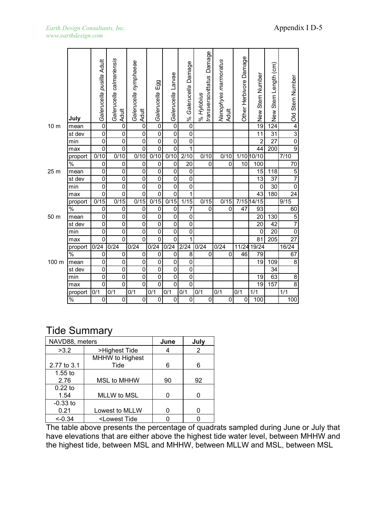|                 | July          | Galerucella pusilla Adult | Galerucella calmariensis<br><b>Adult</b> | Galerucella nymphaeae<br>Adult | Egg<br>Galerucella | Galerucella Larvae | Damage<br>Galerucella<br>$\frac{8}{3}$ | Damage<br>transversovittatus<br>% Hylobius | Nanophyes marmoratus<br>Adult | Other Herbivore Damage | Stem Number<br>New | Stem Length (cm)<br>New | Old Stem Number  |
|-----------------|---------------|---------------------------|------------------------------------------|--------------------------------|--------------------|--------------------|----------------------------------------|--------------------------------------------|-------------------------------|------------------------|--------------------|-------------------------|------------------|
| 10 <sub>m</sub> | mean          | $\overline{0}$            | $\overline{0}$                           | $\overline{0}$                 | $\overline{0}$     | $\overline{0}$     | $\overline{0}$                         |                                            |                               |                        | 19                 | $\overline{124}$        | $\overline{4}$   |
|                 | st dev        | $\overline{0}$            | $\overline{0}$                           | 0                              | $\mathbf 0$        | $\overline{0}$     | $\pmb{0}$                              |                                            |                               |                        | 11                 | $\overline{31}$         | $\overline{3}$   |
|                 | min           | $\overline{0}$            | 0                                        | 0                              | $\overline{0}$     | $\overline{0}$     | $\mathbf 0$                            |                                            |                               |                        | $\overline{2}$     | $\overline{27}$         | $\overline{0}$   |
|                 | max           | $\mathsf 0$               | 0                                        | $\overline{0}$                 | $\overline{0}$     | $\overline{0}$     | 1                                      |                                            |                               |                        | 44                 | 200                     | $\overline{9}$   |
|                 | proport       | $\overline{0/10}$         | $\overline{0/10}$                        | 0/10                           | 0/10               | $0/\overline{10}$  | 2/10                                   | 0/10                                       | 0/10                          |                        | 1/10 10/10         |                         | 7/10             |
|                 | $\frac{1}{2}$ | $\mathsf 0$               | 0                                        | $\mathbf 0$                    | $\mathbf 0$        | 0                  | 20                                     | 0                                          | 0                             | 10                     | 100                |                         | $\overline{70}$  |
| 25 m            | mean          | $\pmb{0}$                 | 0                                        | 0                              | $\overline{0}$     | $\overline{0}$     | 0                                      |                                            |                               |                        | $\overline{15}$    | $\overline{118}$        | $\overline{5}$   |
|                 | st dev        | $\pmb{0}$                 | 0                                        | $\overline{0}$                 | $\overline{0}$     | $\overline{0}$     | $\pmb{0}$                              |                                            |                               |                        | 13                 | $\overline{37}$         | $\overline{7}$   |
|                 | min           | 0                         | 0                                        | 0                              | $\overline{0}$     | $\overline{0}$     | 0                                      |                                            |                               |                        | 0                  | $\overline{30}$         | $\overline{0}$   |
|                 | max           | $\overline{0}$            | 0                                        | 0                              | $\overline{0}$     | $\overline{0}$     | 1                                      |                                            |                               |                        | 43                 | 180                     | $\overline{24}$  |
|                 | proport       | $\overline{0/15}$         | $\overline{0/15}$                        | 0/15                           | 0/15               | 0/15               | 1/15                                   | 0/15                                       | 0/15                          |                        | 7/15 14/15         |                         | 9/15             |
|                 | $\frac{0}{6}$ | 0                         | 0                                        | 0                              | $\mathbf 0$        | $\overline{0}$     | $\overline{7}$                         | $\Omega$                                   | 0                             | 47                     | 93                 |                         | 60               |
| 50 m            | mean          | 0                         | 0                                        | 0                              | $\overline{0}$     | 0                  | 0                                      |                                            |                               |                        | 20                 | 130                     | $\overline{5}$   |
|                 | st dev        | $\pmb{0}$                 | 0                                        | 0                              | $\mathbf 0$        | $\overline{0}$     | $\mathbf 0$                            |                                            |                               |                        | 20                 | 42                      | $\overline{7}$   |
|                 | min           | $\overline{0}$            | $\overline{0}$                           | $\overline{0}$                 | $\overline{0}$     | $\overline{0}$     | $\overline{0}$                         |                                            |                               |                        | $\overline{0}$     | $\overline{20}$         | $\overline{0}$   |
|                 | max           | 0                         | 0                                        | $\overline{0}$                 | $\overline{0}$     | $\overline{0}$     | 1                                      |                                            |                               |                        | $\overline{81}$    | $\overline{205}$        | $\overline{27}$  |
|                 | proport       | 0/24                      | 0/24                                     | 0/24                           | 0/24               | $\overline{0/24}$  | 2/24                                   | $\overline{0/24}$                          | 0/24                          | 11/24                  | 19/24              |                         | 16/24            |
|                 | %             | 0                         | 0                                        | 0                              | 0                  | 0                  | 8                                      | 0                                          | 0                             | 46                     | 79                 |                         | 67               |
| 100 m           | mean          | $\mathbf 0$               | 0                                        | 0                              | 0                  | 0                  | $\mathbf 0$                            |                                            |                               |                        | 19                 | 109                     | 8                |
|                 | st dev        | 0                         | $\overline{0}$                           | $\overline{0}$                 | $\overline{0}$     | $\overline{0}$     | 0                                      |                                            |                               |                        |                    | $\overline{34}$         |                  |
|                 | min           | 0                         | 0                                        | 0                              | $\overline{0}$     | $\overline{0}$     | $\pmb{0}$                              |                                            |                               |                        | 19                 | 63                      | $\overline{8}$   |
|                 | max           | $\overline{0}$            | $\overline{0}$                           | $\overline{0}$                 | $\overline{0}$     | $\overline{0}$     | $\overline{0}$                         |                                            |                               |                        | $\overline{19}$    | 157                     | $\overline{8}$   |
|                 | proport       | $\overline{0/1}$          | $\overline{0/1}$                         | 0/1                            | 0/1                | $\overline{0/1}$   | $\overline{0/1}$                       | $\overline{0/1}$                           | 0/1                           | 0/1                    | $\overline{1/1}$   |                         | $\overline{1/1}$ |
|                 | $\frac{1}{2}$ | 0                         | 0                                        | $\overline{0}$                 | 0                  | 0                  | 0                                      | $\mathbf 0$                                | 0                             | 0                      | 100                |                         | 100              |

### Tide Summary

| NAVD88, meters |                                                    | June | July |
|----------------|----------------------------------------------------|------|------|
| >3.2           | >Highest Tide                                      | 4    | 2    |
|                | MHHW to Highest                                    |      |      |
| 2.77 to 3.1    | Tide                                               | 6    | 6    |
| $1.55$ to      |                                                    |      |      |
| 2.76           | MSL to MHHW                                        | 90   | 92   |
| $0.22$ to      |                                                    |      |      |
| 1.54           | <b>MLLW to MSL</b>                                 |      | U    |
| $-0.33$ to     |                                                    |      |      |
| 0.21           | Lowest to MLLW                                     |      |      |
| $<-0.34$       | <lowest td="" tide<=""><td></td><td></td></lowest> |      |      |

The table above presents the percentage of quadrats sampled during June or July that have elevations that are either above the highest tide water level, between MHHW and the highest tide, between MSL and MHHW, between MLLW and MSL, between MSL